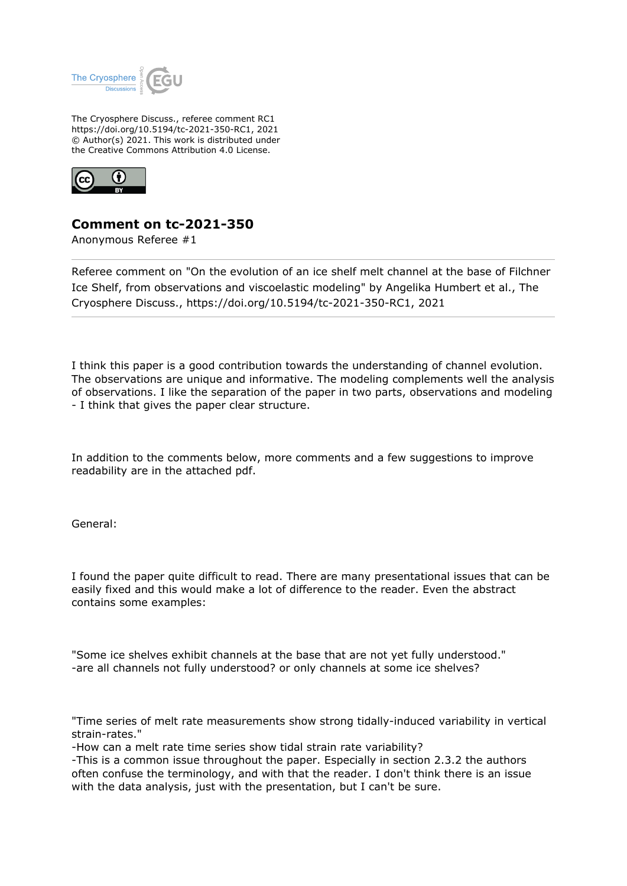

The Cryosphere Discuss., referee comment RC1 https://doi.org/10.5194/tc-2021-350-RC1, 2021 © Author(s) 2021. This work is distributed under the Creative Commons Attribution 4.0 License.



## **Comment on tc-2021-350**

Anonymous Referee #1

Referee comment on "On the evolution of an ice shelf melt channel at the base of Filchner Ice Shelf, from observations and viscoelastic modeling" by Angelika Humbert et al., The Cryosphere Discuss., https://doi.org/10.5194/tc-2021-350-RC1, 2021

I think this paper is a good contribution towards the understanding of channel evolution. The observations are unique and informative. The modeling complements well the analysis of observations. I like the separation of the paper in two parts, observations and modeling - I think that gives the paper clear structure.

In addition to the comments below, more comments and a few suggestions to improve readability are in the attached pdf.

General:

I found the paper quite difficult to read. There are many presentational issues that can be easily fixed and this would make a lot of difference to the reader. Even the abstract contains some examples:

"Some ice shelves exhibit channels at the base that are not yet fully understood." -are all channels not fully understood? or only channels at some ice shelves?

"Time series of melt rate measurements show strong tidally-induced variability in vertical strain-rates."

-How can a melt rate time series show tidal strain rate variability?

-This is a common issue throughout the paper. Especially in section 2.3.2 the authors often confuse the terminology, and with that the reader. I don't think there is an issue with the data analysis, just with the presentation, but I can't be sure.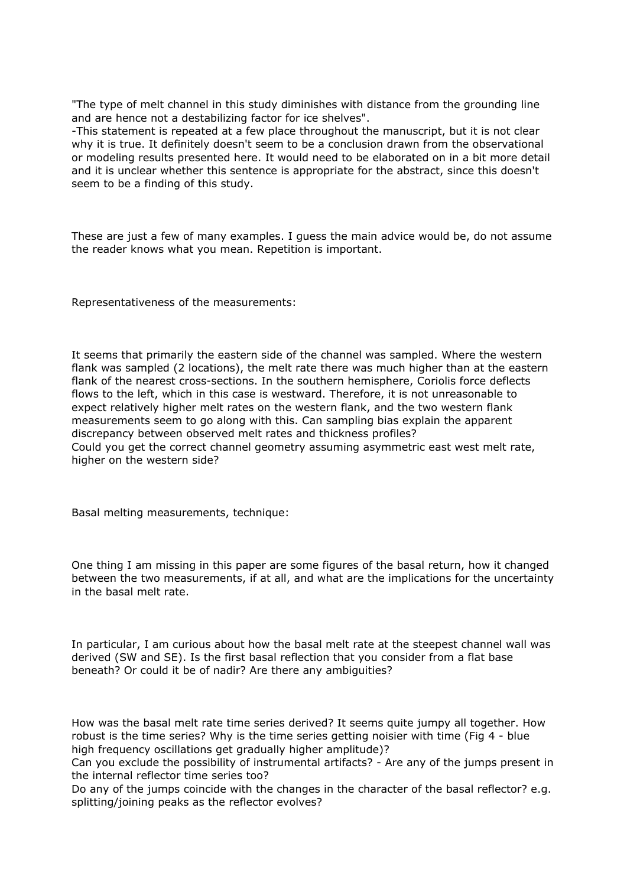"The type of melt channel in this study diminishes with distance from the grounding line and are hence not a destabilizing factor for ice shelves".

-This statement is repeated at a few place throughout the manuscript, but it is not clear why it is true. It definitely doesn't seem to be a conclusion drawn from the observational or modeling results presented here. It would need to be elaborated on in a bit more detail and it is unclear whether this sentence is appropriate for the abstract, since this doesn't seem to be a finding of this study.

These are just a few of many examples. I guess the main advice would be, do not assume the reader knows what you mean. Repetition is important.

Representativeness of the measurements:

It seems that primarily the eastern side of the channel was sampled. Where the western flank was sampled (2 locations), the melt rate there was much higher than at the eastern flank of the nearest cross-sections. In the southern hemisphere, Coriolis force deflects flows to the left, which in this case is westward. Therefore, it is not unreasonable to expect relatively higher melt rates on the western flank, and the two western flank measurements seem to go along with this. Can sampling bias explain the apparent discrepancy between observed melt rates and thickness profiles? Could you get the correct channel geometry assuming asymmetric east west melt rate, higher on the western side?

Basal melting measurements, technique:

One thing I am missing in this paper are some figures of the basal return, how it changed between the two measurements, if at all, and what are the implications for the uncertainty in the basal melt rate.

In particular, I am curious about how the basal melt rate at the steepest channel wall was derived (SW and SE). Is the first basal reflection that you consider from a flat base beneath? Or could it be of nadir? Are there any ambiguities?

How was the basal melt rate time series derived? It seems quite jumpy all together. How robust is the time series? Why is the time series getting noisier with time (Fig 4 - blue high frequency oscillations get gradually higher amplitude)?

Can you exclude the possibility of instrumental artifacts? - Are any of the jumps present in the internal reflector time series too?

Do any of the jumps coincide with the changes in the character of the basal reflector? e.g. splitting/joining peaks as the reflector evolves?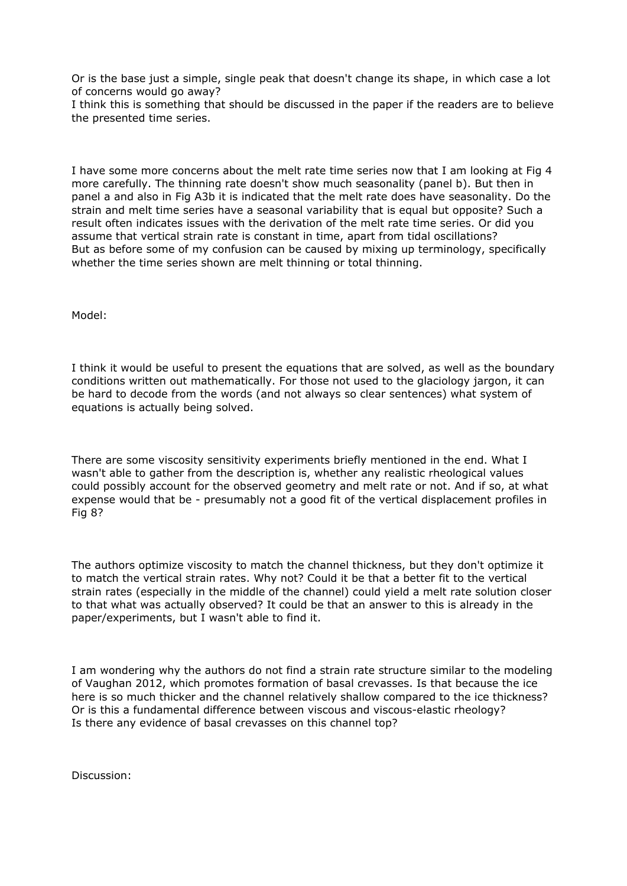Or is the base just a simple, single peak that doesn't change its shape, in which case a lot of concerns would go away?

I think this is something that should be discussed in the paper if the readers are to believe the presented time series.

I have some more concerns about the melt rate time series now that I am looking at Fig 4 more carefully. The thinning rate doesn't show much seasonality (panel b). But then in panel a and also in Fig A3b it is indicated that the melt rate does have seasonality. Do the strain and melt time series have a seasonal variability that is equal but opposite? Such a result often indicates issues with the derivation of the melt rate time series. Or did you assume that vertical strain rate is constant in time, apart from tidal oscillations? But as before some of my confusion can be caused by mixing up terminology, specifically whether the time series shown are melt thinning or total thinning.

Model:

I think it would be useful to present the equations that are solved, as well as the boundary conditions written out mathematically. For those not used to the glaciology jargon, it can be hard to decode from the words (and not always so clear sentences) what system of equations is actually being solved.

There are some viscosity sensitivity experiments briefly mentioned in the end. What I wasn't able to gather from the description is, whether any realistic rheological values could possibly account for the observed geometry and melt rate or not. And if so, at what expense would that be - presumably not a good fit of the vertical displacement profiles in Fig 8?

The authors optimize viscosity to match the channel thickness, but they don't optimize it to match the vertical strain rates. Why not? Could it be that a better fit to the vertical strain rates (especially in the middle of the channel) could yield a melt rate solution closer to that what was actually observed? It could be that an answer to this is already in the paper/experiments, but I wasn't able to find it.

I am wondering why the authors do not find a strain rate structure similar to the modeling of Vaughan 2012, which promotes formation of basal crevasses. Is that because the ice here is so much thicker and the channel relatively shallow compared to the ice thickness? Or is this a fundamental difference between viscous and viscous-elastic rheology? Is there any evidence of basal crevasses on this channel top?

Discussion: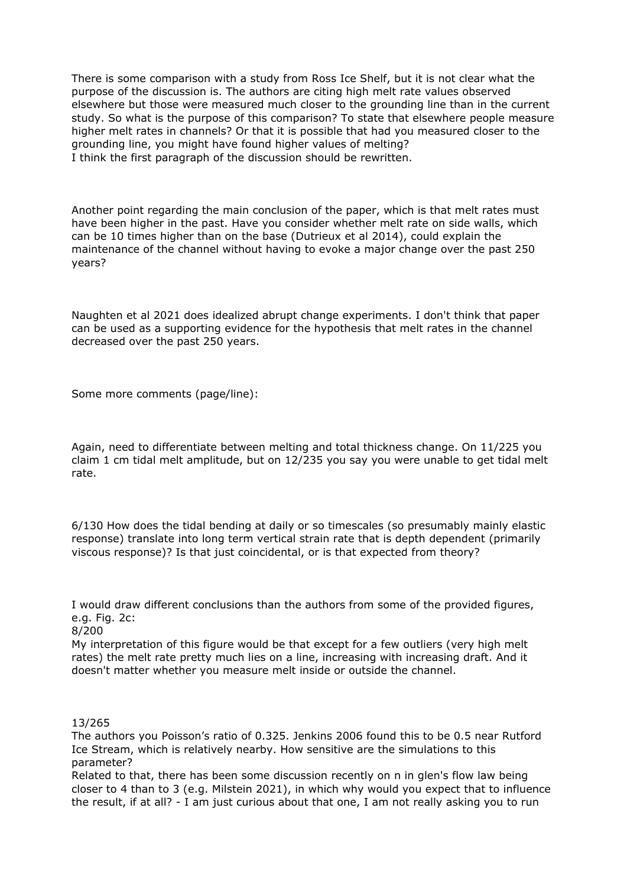There is some comparison with a study from Ross Ice Shelf, but it is not clear what the purpose of the discussion is. The authors are citing high melt rate values observed elsewhere but those were measured much closer to the grounding line than in the current study. So what is the purpose of this comparison? To state that elsewhere people measure higher melt rates in channels? Or that it is possible that had you measured closer to the grounding line, you might have found higher values of melting? I think the first paragraph of the discussion should be rewritten.

Another point regarding the main conclusion of the paper, which is that melt rates must have been higher in the past. Have you consider whether melt rate on side walls, which can be 10 times higher than on the base (Dutrieux et al 2014), could explain the maintenance of the channel without having to evoke a major change over the past 250 years?

Naughten et al 2021 does idealized abrupt change experiments. I don't think that paper can be used as a supporting evidence for the hypothesis that melt rates in the channel decreased over the past 250 years.

Some more comments (page/line):

Again, need to differentiate between melting and total thickness change. On 11/225 you claim 1 cm tidal melt amplitude, but on 12/235 you say you were unable to get tidal melt rate.

6/130 How does the tidal bending at daily or so timescales (so presumably mainly elastic response) translate into long term vertical strain rate that is depth dependent (primarily viscous response)? Is that just coincidental, or is that expected from theory?

I would draw different conclusions than the authors from some of the provided figures, e.g. Fig. 2c:

## 8/200

My interpretation of this figure would be that except for a few outliers (very high melt rates) the melt rate pretty much lies on a line, increasing with increasing draft. And it doesn't matter whether you measure melt inside or outside the channel.

## 13/265

The authors you Poisson's ratio of 0.325. Jenkins 2006 found this to be 0.5 near Rutford Ice Stream, which is relatively nearby. How sensitive are the simulations to this parameter?

Related to that, there has been some discussion recently on n in glen's flow law being closer to 4 than to 3 (e.g. Milstein 2021), in which why would you expect that to influence the result, if at all? - I am just curious about that one, I am not really asking you to run